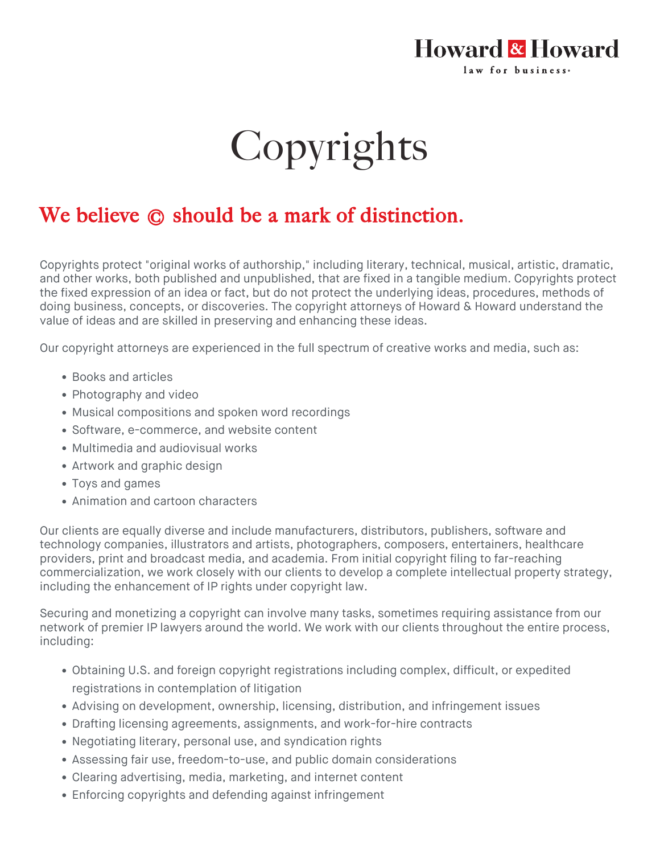## Howard & Howard law for business.

## Copyrights

## We believe  $\odot$  should be a mark of distinction.

Copyrights protect "original works of authorship," including literary, technical, musical, artistic, dramatic, and other works, both published and unpublished, that are fixed in a tangible medium. Copyrights protect the fixed expression of an idea or fact, but do not protect the underlying ideas, procedures, methods of doing business, concepts, or discoveries. The copyright attorneys of Howard & Howard understand the value of ideas and are skilled in preserving and enhancing these ideas.

Our copyright attorneys are experienced in the full spectrum of creative works and media, such as:

- Books and articles
- Photography and video
- Musical compositions and spoken word recordings
- Software, e-commerce, and website content
- Multimedia and audiovisual works
- Artwork and graphic design
- Toys and games
- Animation and cartoon characters

Our clients are equally diverse and include manufacturers, distributors, publishers, software and technology companies, illustrators and artists, photographers, composers, entertainers, healthcare providers, print and broadcast media, and academia. From initial copyright filing to far-reaching commercialization, we work closely with our clients to develop a complete [intellectual property](https://howardandhoward.com/services/intellectual-property/) strategy, including the enhancement of IP rights under copyright law.

Securing and monetizing a copyright can involve many tasks, sometimes requiring assistance from our network of premier IP lawyers around the world. We work with our clients throughout the entire process, including:

- Obtaining U.S. and foreign copyright registrations including complex, difficult, or expedited registrations in contemplation of litigation
- Advising on development, ownership, licensing, distribution, and infringement issues
- Drafting licensing agreements, assignments, and work-for-hire contracts
- Negotiating literary, personal use, and syndication rights
- Assessing fair use, freedom-to-use, and public domain considerations
- Clearing advertising, media, marketing, and internet content
- Enforcing copyrights and defending against infringement